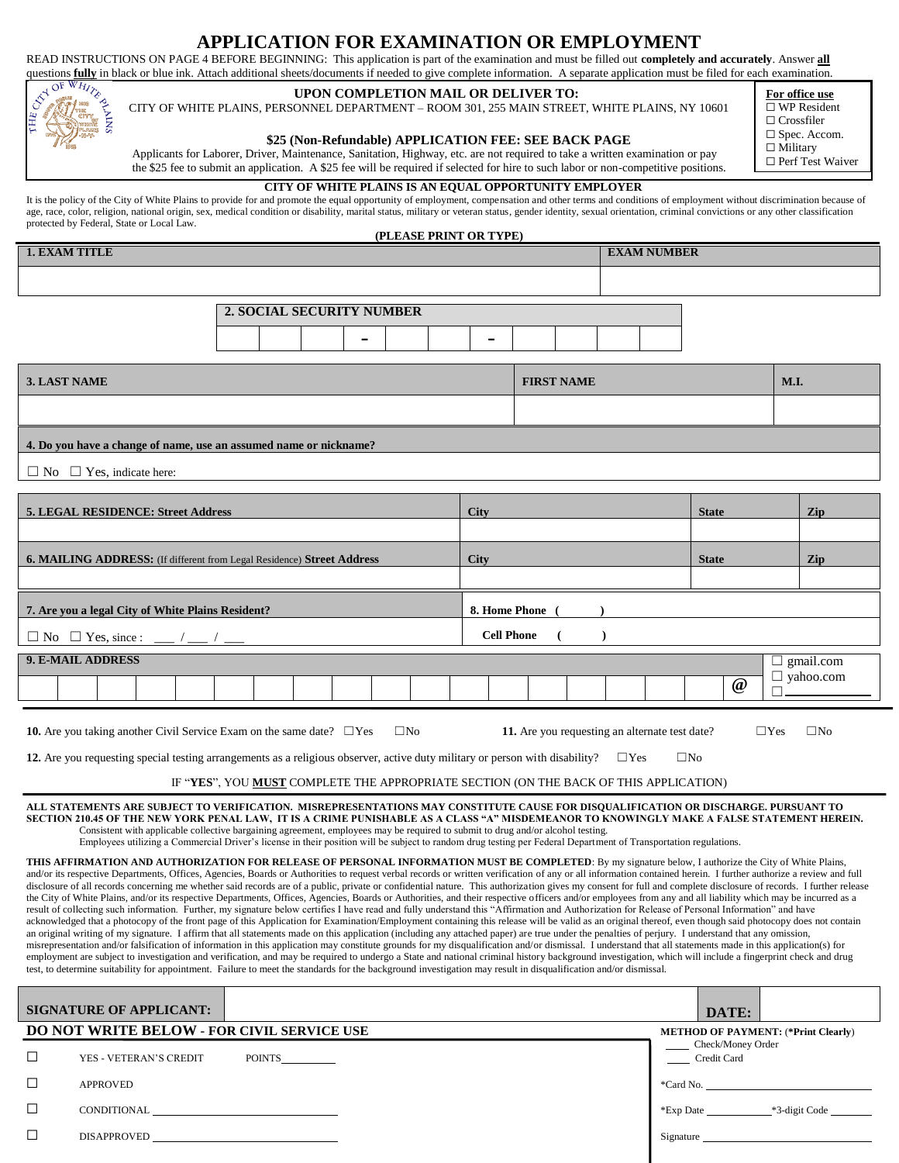# **APPLICATION FOR EXAMINATION OR EMPLOYMENT**

READ INSTRUCTIONS ON PAGE 4 BEFORE BEGINNING: This application is part of the examination and must be filled out **completely and accurately**. Answer **all** questions **fully** in black or blue ink. Attach additional sheets/documents if needed to give complete information. A separate application must be filed for each examination.<br> **COMPLETION MAIL OR DELIVER TO:** 



#### **UPON COMPLETION MAIL OR DELIVER TO:**

CITY OF WHITE PLAINS, PERSONNEL DEPARTMENT – ROOM 301, 255 MAIN STREET, WHITE PLAINS, NY 10601

**For office use**  $\square$  WP Resident  $\Box$  Crossfiler □ Spec. Accom.  $\Box$  Military □ Perf Test Waiver

### **\$25 (Non-Refundable) APPLICATION FEE: SEE BACK PAGE**

 Applicants for Laborer, Driver, Maintenance, Sanitation, Highway, etc. are not required to take a written examination or pay the \$25 fee to submit an application. A \$25 fee will be required if selected for hire to such labor or non-competitive positions.

#### **CITY OF WHITE PLAINS IS AN EQUAL OPPORTUNITY EMPLOYER**

It is the policy of the City of White Plains to provide for and promote the equal opportunity of employment, compensation and other terms and conditions of employment without discrimination because of age, race, color, religion, national origin, sex, medical condition or disability, marital status, military or veteran status, gender identity, sexual orientation, criminal convictions or any other classification protected by Federal, State or Local Law. **(PLEASE PRINT OR TYPE)**

|                                                                                                                                                                                                             |                                                                                                                                                                                                                                                                                                                                                                                                                                                                                                                                                                                                                                                                                                                                                                                                                                                                                                                                                                                                                                                                                                                                                                                                                                                                                                                                                                                                                                                                                                                                                                                                                                                                                                                                                                                                                                                                                                                                                                                                                                                                                                                                                                                                                                                                                                                                                                                                                                                                         |  |                                  |  |  |  | (PLEASE PRINT OR TYPE) |             |                   |                   |  |                    |              |                   |        |                                            |
|-------------------------------------------------------------------------------------------------------------------------------------------------------------------------------------------------------------|-------------------------------------------------------------------------------------------------------------------------------------------------------------------------------------------------------------------------------------------------------------------------------------------------------------------------------------------------------------------------------------------------------------------------------------------------------------------------------------------------------------------------------------------------------------------------------------------------------------------------------------------------------------------------------------------------------------------------------------------------------------------------------------------------------------------------------------------------------------------------------------------------------------------------------------------------------------------------------------------------------------------------------------------------------------------------------------------------------------------------------------------------------------------------------------------------------------------------------------------------------------------------------------------------------------------------------------------------------------------------------------------------------------------------------------------------------------------------------------------------------------------------------------------------------------------------------------------------------------------------------------------------------------------------------------------------------------------------------------------------------------------------------------------------------------------------------------------------------------------------------------------------------------------------------------------------------------------------------------------------------------------------------------------------------------------------------------------------------------------------------------------------------------------------------------------------------------------------------------------------------------------------------------------------------------------------------------------------------------------------------------------------------------------------------------------------------------------------|--|----------------------------------|--|--|--|------------------------|-------------|-------------------|-------------------|--|--------------------|--------------|-------------------|--------|--------------------------------------------|
| <b>1. EXAM TITLE</b>                                                                                                                                                                                        |                                                                                                                                                                                                                                                                                                                                                                                                                                                                                                                                                                                                                                                                                                                                                                                                                                                                                                                                                                                                                                                                                                                                                                                                                                                                                                                                                                                                                                                                                                                                                                                                                                                                                                                                                                                                                                                                                                                                                                                                                                                                                                                                                                                                                                                                                                                                                                                                                                                                         |  |                                  |  |  |  |                        |             |                   |                   |  | <b>EXAM NUMBER</b> |              |                   |        |                                            |
|                                                                                                                                                                                                             |                                                                                                                                                                                                                                                                                                                                                                                                                                                                                                                                                                                                                                                                                                                                                                                                                                                                                                                                                                                                                                                                                                                                                                                                                                                                                                                                                                                                                                                                                                                                                                                                                                                                                                                                                                                                                                                                                                                                                                                                                                                                                                                                                                                                                                                                                                                                                                                                                                                                         |  |                                  |  |  |  |                        |             |                   |                   |  |                    |              |                   |        |                                            |
|                                                                                                                                                                                                             |                                                                                                                                                                                                                                                                                                                                                                                                                                                                                                                                                                                                                                                                                                                                                                                                                                                                                                                                                                                                                                                                                                                                                                                                                                                                                                                                                                                                                                                                                                                                                                                                                                                                                                                                                                                                                                                                                                                                                                                                                                                                                                                                                                                                                                                                                                                                                                                                                                                                         |  | <b>2. SOCIAL SECURITY NUMBER</b> |  |  |  |                        |             |                   |                   |  |                    |              |                   |        |                                            |
|                                                                                                                                                                                                             |                                                                                                                                                                                                                                                                                                                                                                                                                                                                                                                                                                                                                                                                                                                                                                                                                                                                                                                                                                                                                                                                                                                                                                                                                                                                                                                                                                                                                                                                                                                                                                                                                                                                                                                                                                                                                                                                                                                                                                                                                                                                                                                                                                                                                                                                                                                                                                                                                                                                         |  |                                  |  |  |  |                        |             |                   |                   |  |                    |              |                   |        |                                            |
| 3. LAST NAME                                                                                                                                                                                                |                                                                                                                                                                                                                                                                                                                                                                                                                                                                                                                                                                                                                                                                                                                                                                                                                                                                                                                                                                                                                                                                                                                                                                                                                                                                                                                                                                                                                                                                                                                                                                                                                                                                                                                                                                                                                                                                                                                                                                                                                                                                                                                                                                                                                                                                                                                                                                                                                                                                         |  |                                  |  |  |  |                        |             |                   | <b>FIRST NAME</b> |  |                    |              |                   | M.I.   |                                            |
|                                                                                                                                                                                                             |                                                                                                                                                                                                                                                                                                                                                                                                                                                                                                                                                                                                                                                                                                                                                                                                                                                                                                                                                                                                                                                                                                                                                                                                                                                                                                                                                                                                                                                                                                                                                                                                                                                                                                                                                                                                                                                                                                                                                                                                                                                                                                                                                                                                                                                                                                                                                                                                                                                                         |  |                                  |  |  |  |                        |             |                   |                   |  |                    |              |                   |        |                                            |
|                                                                                                                                                                                                             | 4. Do you have a change of name, use an assumed name or nickname?                                                                                                                                                                                                                                                                                                                                                                                                                                                                                                                                                                                                                                                                                                                                                                                                                                                                                                                                                                                                                                                                                                                                                                                                                                                                                                                                                                                                                                                                                                                                                                                                                                                                                                                                                                                                                                                                                                                                                                                                                                                                                                                                                                                                                                                                                                                                                                                                       |  |                                  |  |  |  |                        |             |                   |                   |  |                    |              |                   |        |                                            |
|                                                                                                                                                                                                             | $\Box$ No $\Box$ Yes, indicate here:                                                                                                                                                                                                                                                                                                                                                                                                                                                                                                                                                                                                                                                                                                                                                                                                                                                                                                                                                                                                                                                                                                                                                                                                                                                                                                                                                                                                                                                                                                                                                                                                                                                                                                                                                                                                                                                                                                                                                                                                                                                                                                                                                                                                                                                                                                                                                                                                                                    |  |                                  |  |  |  |                        |             |                   |                   |  |                    |              |                   |        |                                            |
|                                                                                                                                                                                                             |                                                                                                                                                                                                                                                                                                                                                                                                                                                                                                                                                                                                                                                                                                                                                                                                                                                                                                                                                                                                                                                                                                                                                                                                                                                                                                                                                                                                                                                                                                                                                                                                                                                                                                                                                                                                                                                                                                                                                                                                                                                                                                                                                                                                                                                                                                                                                                                                                                                                         |  |                                  |  |  |  |                        |             |                   |                   |  |                    |              |                   |        |                                            |
|                                                                                                                                                                                                             | 5. LEGAL RESIDENCE: Street Address                                                                                                                                                                                                                                                                                                                                                                                                                                                                                                                                                                                                                                                                                                                                                                                                                                                                                                                                                                                                                                                                                                                                                                                                                                                                                                                                                                                                                                                                                                                                                                                                                                                                                                                                                                                                                                                                                                                                                                                                                                                                                                                                                                                                                                                                                                                                                                                                                                      |  |                                  |  |  |  |                        | <b>City</b> |                   |                   |  |                    | <b>State</b> |                   |        | Zip                                        |
|                                                                                                                                                                                                             | 6. MAILING ADDRESS: (If different from Legal Residence) Street Address                                                                                                                                                                                                                                                                                                                                                                                                                                                                                                                                                                                                                                                                                                                                                                                                                                                                                                                                                                                                                                                                                                                                                                                                                                                                                                                                                                                                                                                                                                                                                                                                                                                                                                                                                                                                                                                                                                                                                                                                                                                                                                                                                                                                                                                                                                                                                                                                  |  |                                  |  |  |  |                        | <b>City</b> |                   |                   |  |                    | <b>State</b> |                   |        | Zip                                        |
|                                                                                                                                                                                                             |                                                                                                                                                                                                                                                                                                                                                                                                                                                                                                                                                                                                                                                                                                                                                                                                                                                                                                                                                                                                                                                                                                                                                                                                                                                                                                                                                                                                                                                                                                                                                                                                                                                                                                                                                                                                                                                                                                                                                                                                                                                                                                                                                                                                                                                                                                                                                                                                                                                                         |  |                                  |  |  |  |                        |             |                   |                   |  |                    |              |                   |        |                                            |
|                                                                                                                                                                                                             | 7. Are you a legal City of White Plains Resident?                                                                                                                                                                                                                                                                                                                                                                                                                                                                                                                                                                                                                                                                                                                                                                                                                                                                                                                                                                                                                                                                                                                                                                                                                                                                                                                                                                                                                                                                                                                                                                                                                                                                                                                                                                                                                                                                                                                                                                                                                                                                                                                                                                                                                                                                                                                                                                                                                       |  |                                  |  |  |  |                        |             |                   | 8. Home Phone     |  |                    |              |                   |        |                                            |
|                                                                                                                                                                                                             | $\Box$ No $\Box$ Yes, since: / /                                                                                                                                                                                                                                                                                                                                                                                                                                                                                                                                                                                                                                                                                                                                                                                                                                                                                                                                                                                                                                                                                                                                                                                                                                                                                                                                                                                                                                                                                                                                                                                                                                                                                                                                                                                                                                                                                                                                                                                                                                                                                                                                                                                                                                                                                                                                                                                                                                        |  |                                  |  |  |  |                        |             | <b>Cell Phone</b> |                   |  |                    |              |                   |        |                                            |
|                                                                                                                                                                                                             | 9. E-MAIL ADDRESS                                                                                                                                                                                                                                                                                                                                                                                                                                                                                                                                                                                                                                                                                                                                                                                                                                                                                                                                                                                                                                                                                                                                                                                                                                                                                                                                                                                                                                                                                                                                                                                                                                                                                                                                                                                                                                                                                                                                                                                                                                                                                                                                                                                                                                                                                                                                                                                                                                                       |  |                                  |  |  |  |                        |             |                   |                   |  |                    |              |                   | ⊔      | gmail.com                                  |
|                                                                                                                                                                                                             |                                                                                                                                                                                                                                                                                                                                                                                                                                                                                                                                                                                                                                                                                                                                                                                                                                                                                                                                                                                                                                                                                                                                                                                                                                                                                                                                                                                                                                                                                                                                                                                                                                                                                                                                                                                                                                                                                                                                                                                                                                                                                                                                                                                                                                                                                                                                                                                                                                                                         |  |                                  |  |  |  |                        |             |                   |                   |  |                    |              | @                 | $\Box$ | yahoo.com                                  |
| misrepresentation and/or falsification of information in this application may constitute grounds for my disqualification and/or dismissal. I understand that all statements made in this application(s) for | $\square$ No<br><b>10.</b> Are you taking another Civil Service Exam on the same date? $\Box$ Yes<br>11. Are you requesting an alternate test date?<br>$\Box$ Yes<br>$\square$ No<br>12. Are you requesting special testing arrangements as a religious observer, active duty military or person with disability?<br>$\square$ No<br>$\Box$ Yes<br>IF "YES", YOU MUST COMPLETE THE APPROPRIATE SECTION (ON THE BACK OF THIS APPLICATION)<br>ALL STATEMENTS ARE SUBJECT TO VERIFICATION. MISREPRESENTATIONS MAY CONSTITUTE CAUSE FOR DISQUALIFICATION OR DISCHARGE. PURSUANT TO<br>SECTION 210.45 OF THE NEW YORK PENAL LAW, IT IS A CRIME PUNISHABLE AS A CLASS "A" MISDEMEANOR TO KNOWINGLY MAKE A FALSE STATEMENT HEREIN.<br>Consistent with applicable collective bargaining agreement, employees may be required to submit to drug and/or alcohol testing.<br>Employees utilizing a Commercial Driver's license in their position will be subject to random drug testing per Federal Department of Transportation regulations.<br>THIS AFFIRMATION AND AUTHORIZATION FOR RELEASE OF PERSONAL INFORMATION MUST BE COMPLETED: By my signature below, I authorize the City of White Plains,<br>and/or its respective Departments, Offices, Agencies, Boards or Authorities to request verbal records or written verification of any or all information contained herein. I further authorize a review and full<br>disclosure of all records concerning me whether said records are of a public, private or confidential nature. This authorization gives my consent for full and complete disclosure of records. I further release<br>the City of White Plains, and/or its respective Departments, Offices, Agencies, Boards or Authorities, and their respective officers and/or employees from any and all liability which may be incurred as a<br>result of collecting such information. Further, my signature below certifies I have read and fully understand this "Affirmation and Authorization for Release of Personal Information" and have<br>acknowledged that a photocopy of the front page of this Application for Examination/Employment containing this release will be valid as an original thereof, even though said photocopy does not contain<br>an original writing of my signature. I affirm that all statements made on this application (including any attached paper) are true under the penalties of perjury. I understand that any omission, |  |                                  |  |  |  |                        |             |                   |                   |  |                    |              |                   |        |                                            |
|                                                                                                                                                                                                             | employment are subject to investigation and verification, and may be required to undergo a State and national criminal history background investigation, which will include a fingerprint check and drug<br>test, to determine suitability for appointment. Failure to meet the standards for the background investigation may result in disqualification and/or dismissal.                                                                                                                                                                                                                                                                                                                                                                                                                                                                                                                                                                                                                                                                                                                                                                                                                                                                                                                                                                                                                                                                                                                                                                                                                                                                                                                                                                                                                                                                                                                                                                                                                                                                                                                                                                                                                                                                                                                                                                                                                                                                                             |  |                                  |  |  |  |                        |             |                   |                   |  |                    |              |                   |        |                                            |
|                                                                                                                                                                                                             | <b>SIGNATURE OF APPLICANT:</b><br>DO NOT WRITE BELOW - FOR CIVIL SERVICE USE                                                                                                                                                                                                                                                                                                                                                                                                                                                                                                                                                                                                                                                                                                                                                                                                                                                                                                                                                                                                                                                                                                                                                                                                                                                                                                                                                                                                                                                                                                                                                                                                                                                                                                                                                                                                                                                                                                                                                                                                                                                                                                                                                                                                                                                                                                                                                                                            |  |                                  |  |  |  |                        |             |                   |                   |  |                    |              | DATE:             |        | <b>METHOD OF PAYMENT: (*Print Clearly)</b> |
| $\Box$                                                                                                                                                                                                      | YES - VETERAN'S CREDIT                                                                                                                                                                                                                                                                                                                                                                                                                                                                                                                                                                                                                                                                                                                                                                                                                                                                                                                                                                                                                                                                                                                                                                                                                                                                                                                                                                                                                                                                                                                                                                                                                                                                                                                                                                                                                                                                                                                                                                                                                                                                                                                                                                                                                                                                                                                                                                                                                                                  |  | <b>POINTS</b>                    |  |  |  |                        |             |                   |                   |  |                    | Credit Card  | Check/Money Order |        |                                            |
| □                                                                                                                                                                                                           | <b>APPROVED</b>                                                                                                                                                                                                                                                                                                                                                                                                                                                                                                                                                                                                                                                                                                                                                                                                                                                                                                                                                                                                                                                                                                                                                                                                                                                                                                                                                                                                                                                                                                                                                                                                                                                                                                                                                                                                                                                                                                                                                                                                                                                                                                                                                                                                                                                                                                                                                                                                                                                         |  |                                  |  |  |  |                        |             |                   |                   |  |                    |              |                   |        | $*Card No.$                                |
| $\Box$                                                                                                                                                                                                      |                                                                                                                                                                                                                                                                                                                                                                                                                                                                                                                                                                                                                                                                                                                                                                                                                                                                                                                                                                                                                                                                                                                                                                                                                                                                                                                                                                                                                                                                                                                                                                                                                                                                                                                                                                                                                                                                                                                                                                                                                                                                                                                                                                                                                                                                                                                                                                                                                                                                         |  |                                  |  |  |  |                        |             |                   |                   |  |                    |              |                   |        |                                            |
| $\Box$                                                                                                                                                                                                      | <b>DISAPPROVED</b>                                                                                                                                                                                                                                                                                                                                                                                                                                                                                                                                                                                                                                                                                                                                                                                                                                                                                                                                                                                                                                                                                                                                                                                                                                                                                                                                                                                                                                                                                                                                                                                                                                                                                                                                                                                                                                                                                                                                                                                                                                                                                                                                                                                                                                                                                                                                                                                                                                                      |  |                                  |  |  |  |                        |             |                   |                   |  |                    |              | Signature         |        |                                            |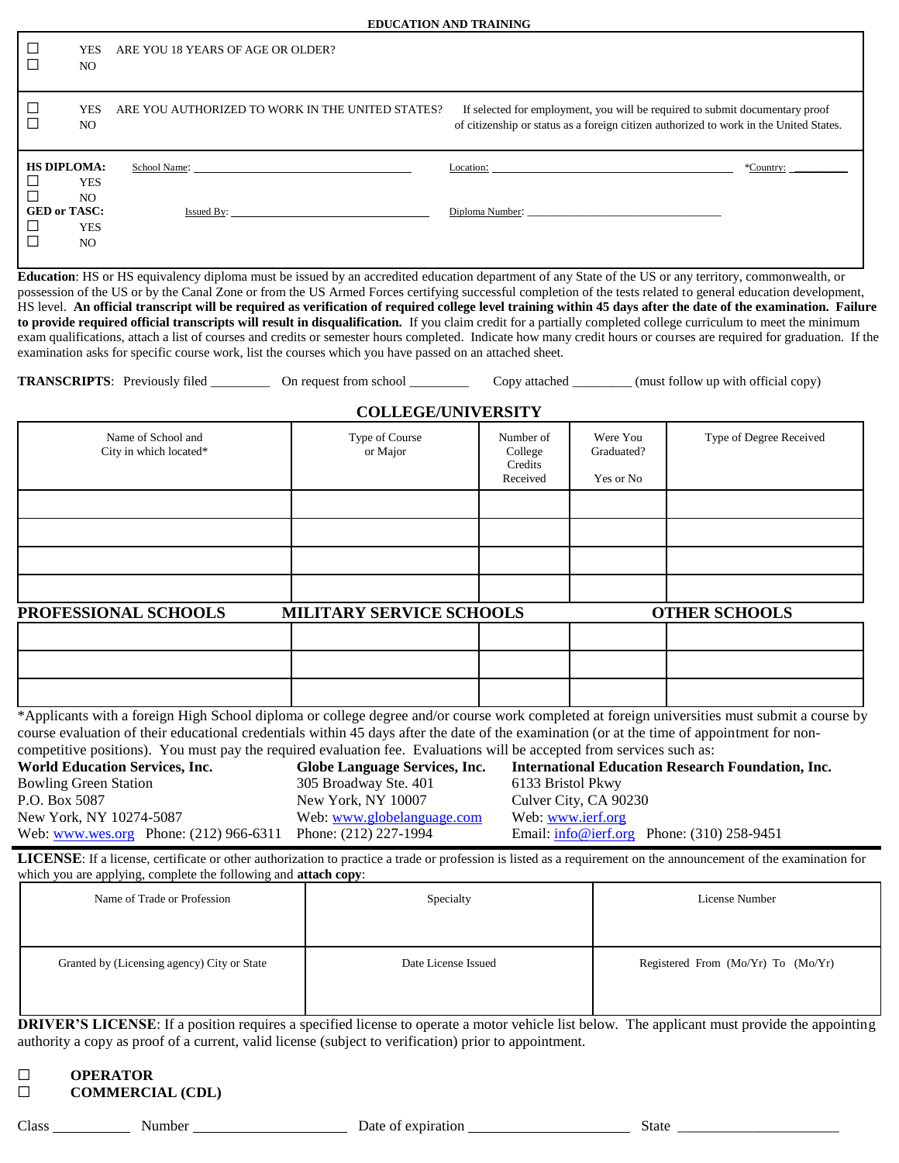| <b>EDUCATION AND TRAINING</b> |  |  |
|-------------------------------|--|--|
|-------------------------------|--|--|

|                                                                                                                                                                                                                                                                                                                                                                                                                                                                                                                                                                                                                                                                                                                                                                                                                                                                                                                                                       | <b>YES</b><br>N <sub>O</sub>                                 | ARE YOU 18 YEARS OF AGE OR OLDER?                                                                                                                                                                                              |                                                                                                                                                                        |               |  |  |  |
|-------------------------------------------------------------------------------------------------------------------------------------------------------------------------------------------------------------------------------------------------------------------------------------------------------------------------------------------------------------------------------------------------------------------------------------------------------------------------------------------------------------------------------------------------------------------------------------------------------------------------------------------------------------------------------------------------------------------------------------------------------------------------------------------------------------------------------------------------------------------------------------------------------------------------------------------------------|--------------------------------------------------------------|--------------------------------------------------------------------------------------------------------------------------------------------------------------------------------------------------------------------------------|------------------------------------------------------------------------------------------------------------------------------------------------------------------------|---------------|--|--|--|
| $\Box$<br>H                                                                                                                                                                                                                                                                                                                                                                                                                                                                                                                                                                                                                                                                                                                                                                                                                                                                                                                                           | YES<br>N <sub>O</sub>                                        | ARE YOU AUTHORIZED TO WORK IN THE UNITED STATES?                                                                                                                                                                               | If selected for employment, you will be required to submit documentary proof<br>of citizenship or status as a foreign citizen authorized to work in the United States. |               |  |  |  |
| <b>HS DIPLOMA:</b>                                                                                                                                                                                                                                                                                                                                                                                                                                                                                                                                                                                                                                                                                                                                                                                                                                                                                                                                    |                                                              | School Name: Name and School Name and School Name and School Name and School Name and School Name and School Name and School Name and School Name and School Name and School Name and School Name and School Name and School N | Location:                                                                                                                                                              | $^*$ Country: |  |  |  |
| <b>GED or TASC:</b><br>П                                                                                                                                                                                                                                                                                                                                                                                                                                                                                                                                                                                                                                                                                                                                                                                                                                                                                                                              | <b>YES</b><br>N <sub>O</sub><br><b>YES</b><br>N <sub>O</sub> | Issued By:                                                                                                                                                                                                                     |                                                                                                                                                                        |               |  |  |  |
|                                                                                                                                                                                                                                                                                                                                                                                                                                                                                                                                                                                                                                                                                                                                                                                                                                                                                                                                                       |                                                              |                                                                                                                                                                                                                                |                                                                                                                                                                        |               |  |  |  |
| <b>Education:</b> HS or HS equivalency diploma must be issued by an accredited education department of any State of the US or any territory, commonwealth, or<br>possession of the US or by the Canal Zone or from the US Armed Forces certifying successful completion of the tests related to general education development,<br>HS level. An official transcript will be required as verification of required college level training within 45 days after the date of the examination. Failure<br>to provide required official transcripts will result in disqualification. If you claim credit for a partially completed college curriculum to meet the minimum<br>exam qualifications, attach a list of courses and credits or semester hours completed. Indicate how many credit hours or courses are required for graduation. If the<br>examination asks for specific course work, list the courses which you have passed on an attached sheet. |                                                              |                                                                                                                                                                                                                                |                                                                                                                                                                        |               |  |  |  |
|                                                                                                                                                                                                                                                                                                                                                                                                                                                                                                                                                                                                                                                                                                                                                                                                                                                                                                                                                       |                                                              | <b>TRANSCRIPTS:</b> Previously filed _____________ On request from school _______________ Copy attached __________ (must follow up with official copy)                                                                         |                                                                                                                                                                        |               |  |  |  |
|                                                                                                                                                                                                                                                                                                                                                                                                                                                                                                                                                                                                                                                                                                                                                                                                                                                                                                                                                       |                                                              |                                                                                                                                                                                                                                | <b>COLLEGE/UNIVERSITY</b>                                                                                                                                              |               |  |  |  |

| Name of School and<br>City in which located* | Type of Course<br>or Major | Number of<br>College<br>Credits<br>Received | Were You<br>Graduated?<br>Yes or No | Type of Degree Received |
|----------------------------------------------|----------------------------|---------------------------------------------|-------------------------------------|-------------------------|
|                                              |                            |                                             |                                     |                         |
|                                              |                            |                                             |                                     |                         |
|                                              |                            |                                             |                                     |                         |
|                                              |                            |                                             |                                     |                         |
| PROFESSIONAL SCHOOLS                         | MILITARY SERVICE SCHOOLS   |                                             |                                     | <b>OTHER SCHOOLS</b>    |
|                                              |                            |                                             |                                     |                         |
|                                              |                            |                                             |                                     |                         |
|                                              |                            |                                             |                                     |                         |

\*Applicants with a foreign High School diploma or college degree and/or course work completed at foreign universities must submit a course by course evaluation of their educational credentials within 45 days after the date of the examination (or at the time of appointment for noncompetitive positions). You must pay the required evaluation fee. Evaluations will be accepted from services such as:

| <b>World Education Services, Inc.</b>                        | <b>Globe Language Services, Inc.</b> | <b>International Education Research Foundation, Inc.</b> |
|--------------------------------------------------------------|--------------------------------------|----------------------------------------------------------|
| <b>Bowling Green Station</b>                                 | 305 Broadway Ste. 401                | 6133 Bristol Pkwy                                        |
| P.O. Box 5087                                                | New York, NY 10007                   | Culver City, CA 90230                                    |
| New York, NY 10274-5087                                      | Web: www.globelanguage.com           | Web: www.jerf.org                                        |
| Web: www.wes.org Phone: (212) 966-6311 Phone: (212) 227-1994 |                                      | Email: $info@ierf.org$ Phone: (310) 258-9451             |

**LICENSE**: If a license, certificate or other authorization to practice a trade or profession is listed as a requirement on the announcement of the examination for which you are applying, complete the following and **attach copy**:

| Name of Trade or Profession                 | Specialty           | License Number                     |
|---------------------------------------------|---------------------|------------------------------------|
| Granted by (Licensing agency) City or State | Date License Issued | Registered From (Mo/Yr) To (Mo/Yr) |

**DRIVER'S LICENSE**: If a position requires a specified license to operate a motor vehicle list below. The applicant must provide the appointing authority a copy as proof of a current, valid license (subject to verification) prior to appointment.

| П | <b>OPERATOR</b>                 |
|---|---------------------------------|
| 冖 | $\alpha$ a a tro $\alpha$ i a t |

G **COMMERCIAL (CDL)**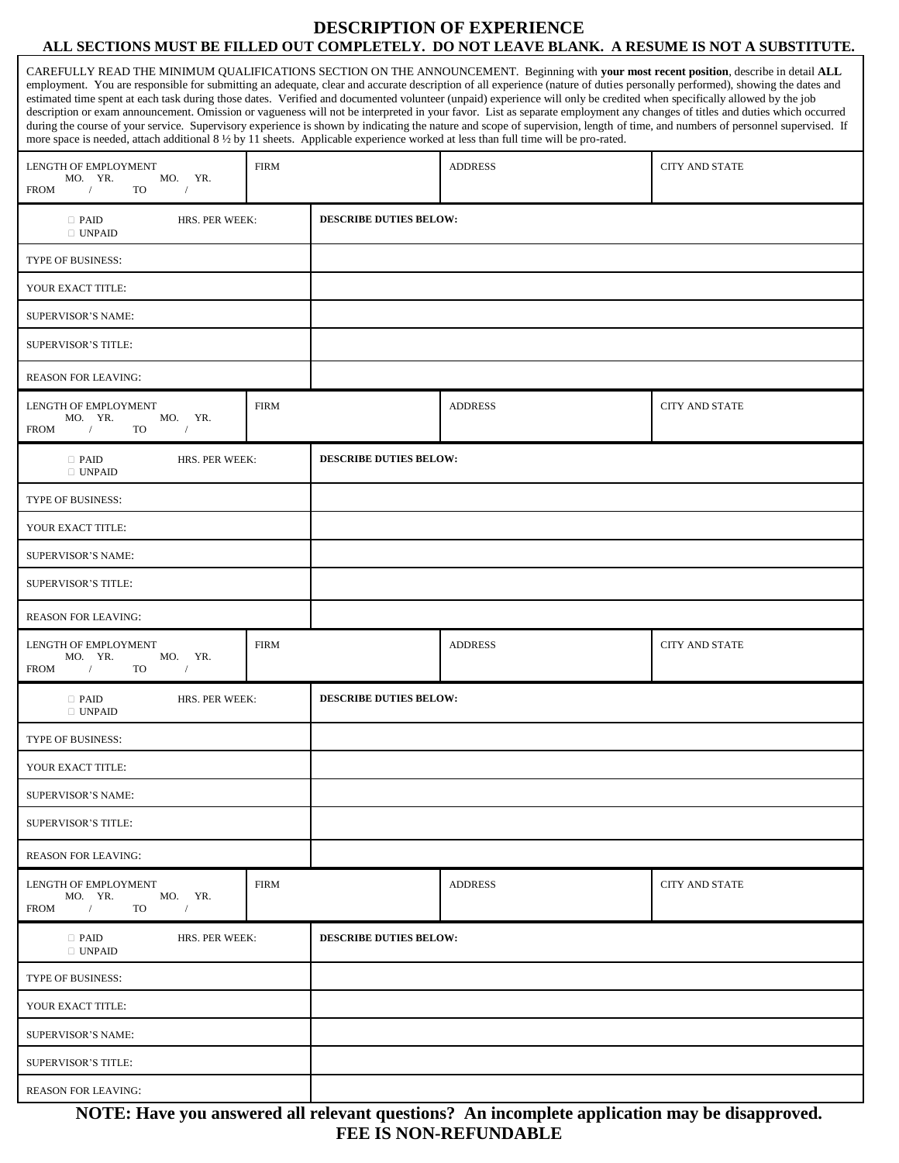## **DESCRIPTION OF EXPERIENCE ALL SECTIONS MUST BE FILLED OUT COMPLETELY. DO NOT LEAVE BLANK. A RESUME IS NOT A SUBSTITUTE.**

CAREFULLY READ THE MINIMUM QUALIFICATIONS SECTION ON THE ANNOUNCEMENT. Beginning with **your most recent position**, describe in detail **ALL** employment. You are responsible for submitting an adequate, clear and accurate description of all experience (nature of duties personally performed), showing the dates and estimated time spent at each task during those dates. Verified and documented volunteer (unpaid) experience will only be credited when specifically allowed by the job description or exam announcement. Omission or vagueness will not be interpreted in your favor. List as separate employment any changes of titles and duties which occurred during the course of your service. Supervisory experience is shown by indicating the nature and scope of supervision, length of time, and numbers of personnel supervised. If more space is needed, attach additional 8 ½ by 11 sheets. Applicable experience worked at less than full time will be pro-rated.

| LENGTH OF EMPLOYMENT<br>MO. YR.<br>MO. YR.<br>$\sim$ $\sim$ $\sim$<br><b>TO</b><br>FROM<br>$\sim$ $\sim$ $\sim$ $\sim$ | <b>FIRM</b> |                               | <b>ADDRESS</b> | CITY AND STATE        |  |  |
|------------------------------------------------------------------------------------------------------------------------|-------------|-------------------------------|----------------|-----------------------|--|--|
| $\Box$ PAID<br>HRS. PER WEEK:<br>$\Box$ UNPAID                                                                         |             | <b>DESCRIBE DUTIES BELOW:</b> |                |                       |  |  |
| TYPE OF BUSINESS:                                                                                                      |             |                               |                |                       |  |  |
| YOUR EXACT TITLE:                                                                                                      |             |                               |                |                       |  |  |
| <b>SUPERVISOR'S NAME:</b>                                                                                              |             |                               |                |                       |  |  |
| <b>SUPERVISOR'S TITLE:</b>                                                                                             |             |                               |                |                       |  |  |
| <b>REASON FOR LEAVING:</b>                                                                                             |             |                               |                |                       |  |  |
| LENGTH OF EMPLOYMENT<br>MO. YR.<br>MO. YR.<br>FROM /<br>$TO$ /                                                         | <b>FIRM</b> |                               | <b>ADDRESS</b> | <b>CITY AND STATE</b> |  |  |
| $\Box$ PAID<br>HRS. PER WEEK:<br>$\Box$ UNPAID                                                                         |             | <b>DESCRIBE DUTIES BELOW:</b> |                |                       |  |  |
| TYPE OF BUSINESS:                                                                                                      |             |                               |                |                       |  |  |
| YOUR EXACT TITLE:                                                                                                      |             |                               |                |                       |  |  |
| <b>SUPERVISOR'S NAME:</b>                                                                                              |             |                               |                |                       |  |  |
| <b>SUPERVISOR'S TITLE:</b>                                                                                             |             |                               |                |                       |  |  |
| <b>REASON FOR LEAVING:</b>                                                                                             |             |                               |                |                       |  |  |
| LENGTH OF EMPLOYMENT<br>MO. YR.<br>MO. YR.<br>TO<br>FROM /<br>$\sim$ $\sim$ $\sim$                                     | <b>FIRM</b> |                               | <b>ADDRESS</b> | <b>CITY AND STATE</b> |  |  |
| HRS. PER WEEK:<br>$\Box$ PAID<br>$\Box$ UNPAID                                                                         |             | <b>DESCRIBE DUTIES BELOW:</b> |                |                       |  |  |
| TYPE OF BUSINESS:                                                                                                      |             |                               |                |                       |  |  |
| YOUR EXACT TITLE:                                                                                                      |             |                               |                |                       |  |  |
| <b>SUPERVISOR'S NAME:</b>                                                                                              |             |                               |                |                       |  |  |
| <b>SUPERVISOR'S TITLE:</b>                                                                                             |             |                               |                |                       |  |  |
| REASON FOR LEAVING:                                                                                                    |             |                               |                |                       |  |  |
| LENGTH OF EMPLOYMENT<br>MO. YR.<br>MO. YR.<br>TO<br>$\sqrt{2}$<br><b>FROM</b><br>$\sqrt{2}$                            | <b>FIRM</b> |                               | <b>ADDRESS</b> | <b>CITY AND STATE</b> |  |  |
| $\Box$ PAID<br>HRS. PER WEEK:                                                                                          |             |                               |                |                       |  |  |
| $\Box$ UNPAID                                                                                                          |             | <b>DESCRIBE DUTIES BELOW:</b> |                |                       |  |  |
| TYPE OF BUSINESS:                                                                                                      |             |                               |                |                       |  |  |
| YOUR EXACT TITLE:                                                                                                      |             |                               |                |                       |  |  |
| <b>SUPERVISOR'S NAME:</b>                                                                                              |             |                               |                |                       |  |  |
| <b>SUPERVISOR'S TITLE:</b>                                                                                             |             |                               |                |                       |  |  |

**NOTE: Have you answered all relevant questions? An incomplete application may be disapproved. FEE IS NON-REFUNDABLE**